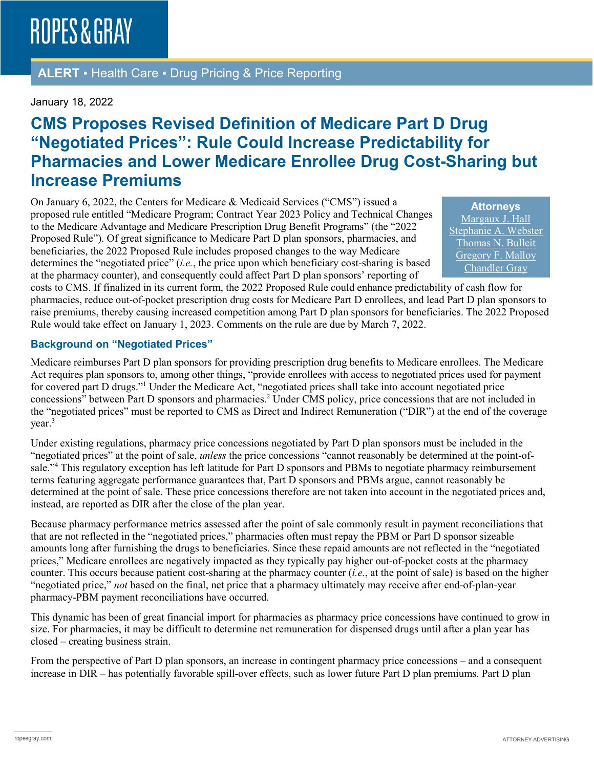**ALERT** ▪ Health Care ▪ Drug Pricing & Price Reporting

#### January 18, 2022

## **CMS Proposes Revised Definition of Medicare Part D Drug "Negotiated Prices": Rule Could Increase Predictability for Pharmacies and Lower Medicare Enrollee Drug Cost-Sharing but Increase Premiums**

On January 6, 2022, the Centers for Medicare & Medicaid Services ("CMS") issued a proposed rule entitled "Medicare Program; Contract Year 2023 Policy and Technical Changes to the Medicare Advantage and Medicare Prescription Drug Benefit Programs" (the "2022 Proposed Rule"). Of great significance to Medicare Part D plan sponsors, pharmacies, and beneficiaries, the 2022 Proposed Rule includes proposed changes to the way Medicare determines the "negotiated price" (*i.e.*, the price upon which beneficiary cost-sharing is based at the pharmacy counter), and consequently could affect Part D plan sponsors' reporting of

**Attorneys** [Margaux J. Hall](https://www.ropesgray.com/en/biographies/h/margaux-hall) [Stephanie A. Webster](https://www.ropesgray.com/en/biographies/w/stephanie-webster) [Thomas N. Bulleit](https://www.ropesgray.com/en/biographies/b/Thomas-Bulleit) [Gregory F. Malloy](https://www.ropesgray.com/en/biographies/m/gregory-malloy) [Chandler Gray](https://www.ropesgray.com/en/biographies/g/Chandler-Gray)

costs to CMS. If finalized in its current form, the 2022 Proposed Rule could enhance predictability of cash flow for pharmacies, reduce out-of-pocket prescription drug costs for Medicare Part D enrollees, and lead Part D plan sponsors to raise premiums, thereby causing increased competition among Part D plan sponsors for beneficiaries. The 2022 Proposed Rule would take effect on January 1, 2023. Comments on the rule are due by March 7, 2022.

#### **Background on "Negotiated Prices"**

Medicare reimburses Part D plan sponsors for providing prescription drug benefits to Medicare enrollees. The Medicare Act requires plan sponsors to, among other things, "provide enrollees with access to negotiated prices used for payment for covered part D drugs."1 Under the Medicare Act, "negotiated prices shall take into account negotiated price concessions" between Part D sponsors and pharmacies.<sup>2</sup> Under CMS policy, price concessions that are not included in the "negotiated prices" must be reported to CMS as Direct and Indirect Remuneration ("DIR") at the end of the coverage year.3

Under existing regulations, pharmacy price concessions negotiated by Part D plan sponsors must be included in the "negotiated prices" at the point of sale, *unless* the price concessions "cannot reasonably be determined at the point-ofsale."4 This regulatory exception has left latitude for Part D sponsors and PBMs to negotiate pharmacy reimbursement terms featuring aggregate performance guarantees that, Part D sponsors and PBMs argue, cannot reasonably be determined at the point of sale. These price concessions therefore are not taken into account in the negotiated prices and, instead, are reported as DIR after the close of the plan year.

Because pharmacy performance metrics assessed after the point of sale commonly result in payment reconciliations that that are not reflected in the "negotiated prices," pharmacies often must repay the PBM or Part D sponsor sizeable amounts long after furnishing the drugs to beneficiaries. Since these repaid amounts are not reflected in the "negotiated prices," Medicare enrollees are negatively impacted as they typically pay higher out-of-pocket costs at the pharmacy counter. This occurs because patient cost-sharing at the pharmacy counter (*i.e.*, at the point of sale) is based on the higher "negotiated price," *not* based on the final, net price that a pharmacy ultimately may receive after end-of-plan-year pharmacy-PBM payment reconciliations have occurred.

This dynamic has been of great financial import for pharmacies as pharmacy price concessions have continued to grow in size. For pharmacies, it may be difficult to determine net remuneration for dispensed drugs until after a plan year has closed – creating business strain.

From the perspective of Part D plan sponsors, an increase in contingent pharmacy price concessions – and a consequent increase in DIR – has potentially favorable spill-over effects, such as lower future Part D plan premiums. Part D plan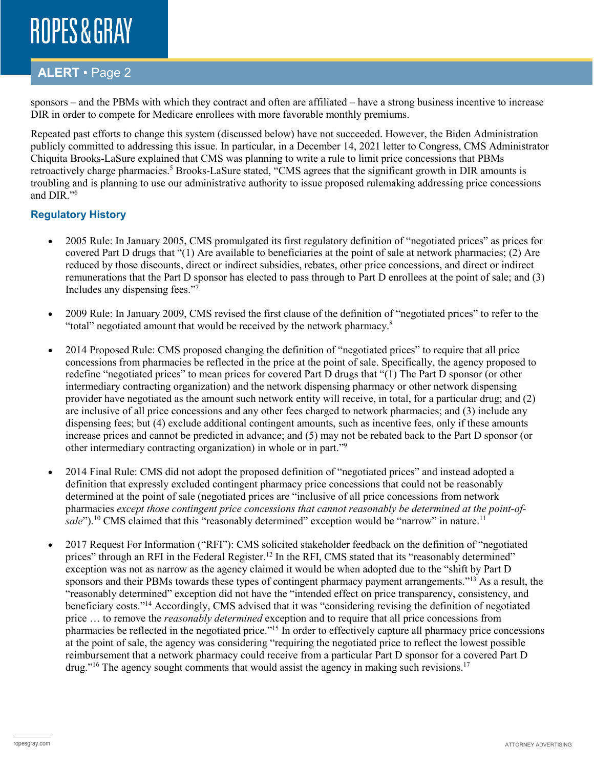### **ALERT** ▪ Page 2

sponsors – and the PBMs with which they contract and often are affiliated – have a strong business incentive to increase DIR in order to compete for Medicare enrollees with more favorable monthly premiums.

Repeated past efforts to change this system (discussed below) have not succeeded. However, the Biden Administration publicly committed to addressing this issue. In particular, in a December 14, 2021 letter to Congress, CMS Administrator Chiquita Brooks-LaSure explained that CMS was planning to write a rule to limit price concessions that PBMs retroactively charge pharmacies.<sup>5</sup> Brooks-LaSure stated, "CMS agrees that the significant growth in DIR amounts is troubling and is planning to use our administrative authority to issue proposed rulemaking addressing price concessions and DIR."6

#### **Regulatory History**

- 2005 Rule: In January 2005, CMS promulgated its first regulatory definition of "negotiated prices" as prices for covered Part D drugs that "(1) Are available to beneficiaries at the point of sale at network pharmacies; (2) Are reduced by those discounts, direct or indirect subsidies, rebates, other price concessions, and direct or indirect remunerations that the Part D sponsor has elected to pass through to Part D enrollees at the point of sale; and (3) Includes any dispensing fees."7
- 2009 Rule: In January 2009, CMS revised the first clause of the definition of "negotiated prices" to refer to the "total" negotiated amount that would be received by the network pharmacy.8
- 2014 Proposed Rule: CMS proposed changing the definition of "negotiated prices" to require that all price concessions from pharmacies be reflected in the price at the point of sale. Specifically, the agency proposed to redefine "negotiated prices" to mean prices for covered Part D drugs that "(1) The Part D sponsor (or other intermediary contracting organization) and the network dispensing pharmacy or other network dispensing provider have negotiated as the amount such network entity will receive, in total, for a particular drug; and (2) are inclusive of all price concessions and any other fees charged to network pharmacies; and (3) include any dispensing fees; but (4) exclude additional contingent amounts, such as incentive fees, only if these amounts increase prices and cannot be predicted in advance; and (5) may not be rebated back to the Part D sponsor (or other intermediary contracting organization) in whole or in part."9
- 2014 Final Rule: CMS did not adopt the proposed definition of "negotiated prices" and instead adopted a definition that expressly excluded contingent pharmacy price concessions that could not be reasonably determined at the point of sale (negotiated prices are "inclusive of all price concessions from network pharmacies *except those contingent price concessions that cannot reasonably be determined at the point-ofsale*").<sup>10</sup> CMS claimed that this "reasonably determined" exception would be "narrow" in nature.<sup>11</sup>
- 2017 Request For Information ("RFI"): CMS solicited stakeholder feedback on the definition of "negotiated prices" through an RFI in the Federal Register.<sup>12</sup> In the RFI, CMS stated that its "reasonably determined" exception was not as narrow as the agency claimed it would be when adopted due to the "shift by Part D sponsors and their PBMs towards these types of contingent pharmacy payment arrangements."<sup>13</sup> As a result, the "reasonably determined" exception did not have the "intended effect on price transparency, consistency, and beneficiary costs."14 Accordingly, CMS advised that it was "considering revising the definition of negotiated price … to remove the *reasonably determined* exception and to require that all price concessions from pharmacies be reflected in the negotiated price."15 In order to effectively capture all pharmacy price concessions at the point of sale, the agency was considering "requiring the negotiated price to reflect the lowest possible reimbursement that a network pharmacy could receive from a particular Part D sponsor for a covered Part D drug."<sup>16</sup> The agency sought comments that would assist the agency in making such revisions.<sup>17</sup>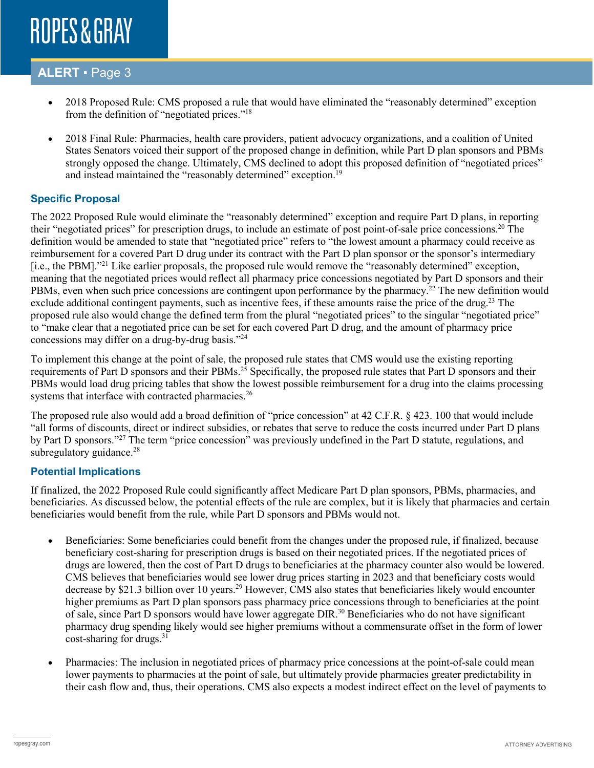### **ALERT** ▪ Page 3

- 2018 Proposed Rule: CMS proposed a rule that would have eliminated the "reasonably determined" exception from the definition of "negotiated prices."18
- 2018 Final Rule: Pharmacies, health care providers, patient advocacy organizations, and a coalition of United States Senators voiced their support of the proposed change in definition, while Part D plan sponsors and PBMs strongly opposed the change. Ultimately, CMS declined to adopt this proposed definition of "negotiated prices" and instead maintained the "reasonably determined" exception.<sup>19</sup>

### **Specific Proposal**

The 2022 Proposed Rule would eliminate the "reasonably determined" exception and require Part D plans, in reporting their "negotiated prices" for prescription drugs, to include an estimate of post point-of-sale price concessions.20 The definition would be amended to state that "negotiated price" refers to "the lowest amount a pharmacy could receive as reimbursement for a covered Part D drug under its contract with the Part D plan sponsor or the sponsor's intermediary [i.e., the PBM]."<sup>21</sup> Like earlier proposals, the proposed rule would remove the "reasonably determined" exception, meaning that the negotiated prices would reflect all pharmacy price concessions negotiated by Part D sponsors and their PBMs, even when such price concessions are contingent upon performance by the pharmacy.<sup>22</sup> The new definition would exclude additional contingent payments, such as incentive fees, if these amounts raise the price of the drug.<sup>23</sup> The proposed rule also would change the defined term from the plural "negotiated prices" to the singular "negotiated price" to "make clear that a negotiated price can be set for each covered Part D drug, and the amount of pharmacy price concessions may differ on a drug-by-drug basis."24

To implement this change at the point of sale, the proposed rule states that CMS would use the existing reporting requirements of Part D sponsors and their PBMs.<sup>25</sup> Specifically, the proposed rule states that Part D sponsors and their PBMs would load drug pricing tables that show the lowest possible reimbursement for a drug into the claims processing systems that interface with contracted pharmacies.<sup>26</sup>

The proposed rule also would add a broad definition of "price concession" at 42 C.F.R. § 423. 100 that would include "all forms of discounts, direct or indirect subsidies, or rebates that serve to reduce the costs incurred under Part D plans by Part D sponsors."27 The term "price concession" was previously undefined in the Part D statute, regulations, and subregulatory guidance.<sup>28</sup>

### **Potential Implications**

If finalized, the 2022 Proposed Rule could significantly affect Medicare Part D plan sponsors, PBMs, pharmacies, and beneficiaries. As discussed below, the potential effects of the rule are complex, but it is likely that pharmacies and certain beneficiaries would benefit from the rule, while Part D sponsors and PBMs would not.

- Beneficiaries: Some beneficiaries could benefit from the changes under the proposed rule, if finalized, because beneficiary cost-sharing for prescription drugs is based on their negotiated prices. If the negotiated prices of drugs are lowered, then the cost of Part D drugs to beneficiaries at the pharmacy counter also would be lowered. CMS believes that beneficiaries would see lower drug prices starting in 2023 and that beneficiary costs would decrease by \$21.3 billion over 10 years.<sup>29</sup> However, CMS also states that beneficiaries likely would encounter higher premiums as Part D plan sponsors pass pharmacy price concessions through to beneficiaries at the point of sale, since Part D sponsors would have lower aggregate DIR.<sup>30</sup> Beneficiaries who do not have significant pharmacy drug spending likely would see higher premiums without a commensurate offset in the form of lower cost-sharing for drugs. $31$
- Pharmacies: The inclusion in negotiated prices of pharmacy price concessions at the point-of-sale could mean lower payments to pharmacies at the point of sale, but ultimately provide pharmacies greater predictability in their cash flow and, thus, their operations. CMS also expects a modest indirect effect on the level of payments to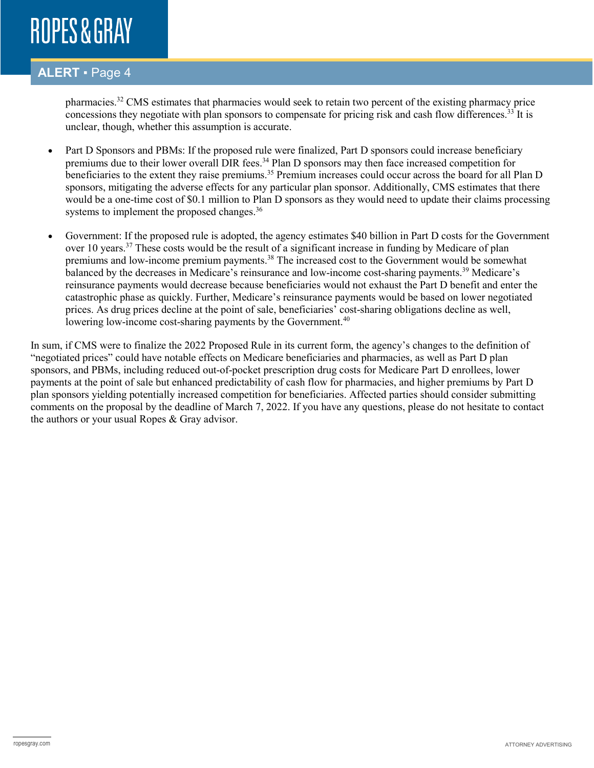### **ALERT** ▪ Page 4

pharmacies.<sup>32</sup> CMS estimates that pharmacies would seek to retain two percent of the existing pharmacy price concessions they negotiate with plan sponsors to compensate for pricing risk and cash flow differences.<sup>33</sup> It is unclear, though, whether this assumption is accurate.

- Part D Sponsors and PBMs: If the proposed rule were finalized, Part D sponsors could increase beneficiary premiums due to their lower overall DIR fees.<sup>34</sup> Plan D sponsors may then face increased competition for beneficiaries to the extent they raise premiums.<sup>35</sup> Premium increases could occur across the board for all Plan D sponsors, mitigating the adverse effects for any particular plan sponsor. Additionally, CMS estimates that there would be a one-time cost of \$0.1 million to Plan D sponsors as they would need to update their claims processing systems to implement the proposed changes.<sup>36</sup>
- Government: If the proposed rule is adopted, the agency estimates \$40 billion in Part D costs for the Government over 10 years.<sup>37</sup> These costs would be the result of a significant increase in funding by Medicare of plan premiums and low-income premium payments.<sup>38</sup> The increased cost to the Government would be somewhat balanced by the decreases in Medicare's reinsurance and low-income cost-sharing payments.<sup>39</sup> Medicare's reinsurance payments would decrease because beneficiaries would not exhaust the Part D benefit and enter the catastrophic phase as quickly. Further, Medicare's reinsurance payments would be based on lower negotiated prices. As drug prices decline at the point of sale, beneficiaries' cost-sharing obligations decline as well, lowering low-income cost-sharing payments by the Government.<sup>40</sup>

In sum, if CMS were to finalize the 2022 Proposed Rule in its current form, the agency's changes to the definition of "negotiated prices" could have notable effects on Medicare beneficiaries and pharmacies, as well as Part D plan sponsors, and PBMs, including reduced out-of-pocket prescription drug costs for Medicare Part D enrollees, lower payments at the point of sale but enhanced predictability of cash flow for pharmacies, and higher premiums by Part D plan sponsors yielding potentially increased competition for beneficiaries. Affected parties should consider submitting comments on the proposal by the deadline of March 7, 2022. If you have any questions, please do not hesitate to contact the authors or your usual Ropes & Gray advisor.